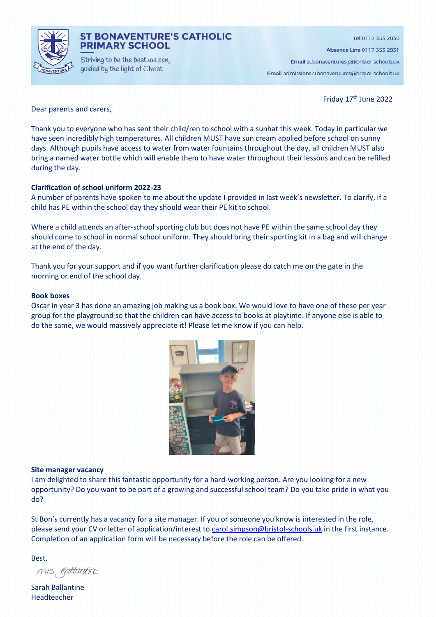

# **ST BONAVENTURE'S CATHOLIC PRIMARY SCHOOL**

Striving to be the best we can, guided by the light of Christ

Tel 0117 353 2830

Absence Line 0117 353 2831

Email st.bonaventures.p@bristol-schools.uk Email admissions.stbonaventures@bristol-schools.uk

Friday 17<sup>th</sup> June 2022

Dear parents and carers,

Thank you to everyone who has sent their child/ren to school with a sunhat this week. Today in particular we have seen incredibly high temperatures. All children MUST have sun cream applied before school on sunny days. Although pupils have access to water from water fountains throughout the day, all children MUST also bring a named water bottle which will enable them to have water throughout their lessons and can be refilled during the day.

### **Clarification of school uniform 2022-23**

A number of parents have spoken to me about the update I provided in last week's newsletter. To clarify, if a child has PE within the school day they should wear their PE kit to school.

Where a child attends an after-school sporting club but does not have PE within the same school day they should come to school in normal school uniform. They should bring their sporting kit in a bag and will change at the end of the day.

Thank you for your support and if you want further clarification please do catch me on the gate in the morning or end of the school day.

### **Book boxes**

Oscar in year 3 has done an amazing job making us a book box. We would love to have one of these per year group for the playground so that the children can have access to books at playtime. If anyone else is able to do the same, we would massively appreciate it! Please let me know if you can help.



### **Site manager vacancy**

I am delighted to share this fantastic opportunity for a hard-working person. Are you looking for a new opportunity? Do you want to be part of a growing and successful school team? Do you take pride in what you do?

St Bon's currently has a vacancy for a site manager. If you or someone you know is interested in the role, please send your CV or letter of application/interest to [carol.simpson@bristol-schools.uk](mailto:carol.simpson@bristol-schools.uk) in the first instance. Completion of an application form will be necessary before the role can be offered.

Best,

mis, Rattantire

Sarah Ballantine Headteacher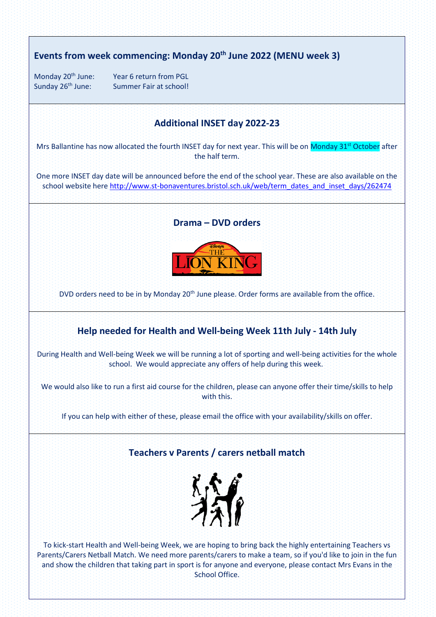# **Events from week commencing: Monday 20th June 2022 (MENU week 3)**

Monday 20<sup>th</sup> June: Year 6 return from PGL Sunday 26<sup>th</sup> June: Summer Fair at school!

# **Additional INSET day 2022-23**

Mrs Ballantine has now allocated the fourth INSET day for next year. This will be on Monday 31<sup>st</sup> October after the half term.

One more INSET day date will be announced before the end of the school year. These are also available on the school website here [http://www.st-bonaventures.bristol.sch.uk/web/term\\_dates\\_and\\_inset\\_days/262474](http://www.st-bonaventures.bristol.sch.uk/web/term_dates_and_inset_days/262474)

### **Drama – DVD orders**



DVD orders need to be in by Monday 20<sup>th</sup> June please. Order forms are available from the office.

# **Help needed for Health and Well-being Week 11th July - 14th July**

During Health and Well-being Week we will be running a lot of sporting and well-being activities for the whole school. We would appreciate any offers of help during this week.

We would also like to run a first aid course for the children, please can anyone offer their time/skills to help with this.

If you can help with either of these, please email the office with your availability/skills on offer.

# **Teachers v Parents / carers netball match**



To kick-start Health and Well-being Week, we are hoping to bring back the highly entertaining Teachers vs Parents/Carers Netball Match. We need more parents/carers to make a team, so if you'd like to join in the fun and show the children that taking part in sport is for anyone and everyone, please contact Mrs Evans in the School Office.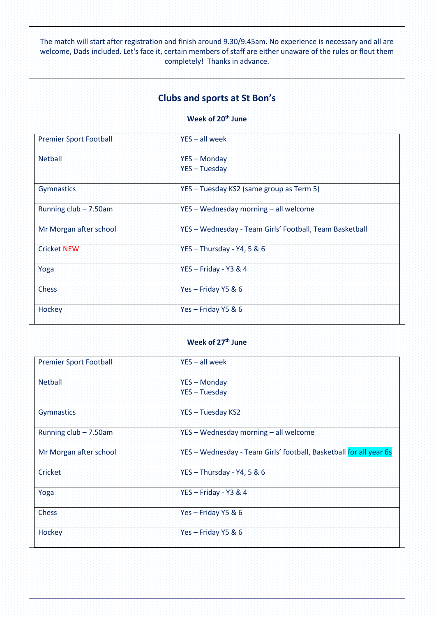The match will start after registration and finish around 9.30/9.45am. No experience is necessary and all are welcome, Dads included. Let's face it, certain members of staff are either unaware of the rules or flout them completely! Thanks in advance.

# **Clubs and sports at St Bon's**

## **Week of 20th June**

| <b>Premier Sport Football</b> | YES - all week                                          |
|-------------------------------|---------------------------------------------------------|
| <b>Netball</b>                | YES - Monday<br>YES-Tuesday                             |
| Gymnastics                    | YES - Tuesday KS2 (same group as Term 5)                |
| Running $club - 7.50am$       | YES - Wednesday morning - all welcome                   |
| Mr Morgan after school        | YES - Wednesday - Team Girls' Football, Team Basketball |
| <b>Cricket NEW</b>            | $YES - Thursday - Y4, 5 & 6$                            |
| Yoga                          | $YES - Friday - Y3 & 4$                                 |
| <b>Chess</b>                  | Yes - Friday Y5 & 6                                     |
| <b>Hockey</b>                 | Yes-Friday Y5 & 6                                       |

# **Week of 27th June**

| <b>Premier Sport Football</b> | $YES - all week$                                                   |
|-------------------------------|--------------------------------------------------------------------|
| <b>Netball</b>                | <b>YES - Monday</b><br>YES - Tuesday                               |
|                               |                                                                    |
| Gymnastics                    | YES - Tuesday KS2                                                  |
| Running club - 7.50am         | YES - Wednesday morning - all welcome                              |
| Mr Morgan after school        | YES - Wednesday - Team Girls' football, Basketball for all year 6s |
| Cricket                       | YES - Thursday - $Y4$ , 5 & 6                                      |
| Yoga                          | $YES - Friday - Y3 & 4$                                            |
| <b>Chess</b>                  | Yes-Friday Y5 & 6                                                  |
| Hockey                        | Yes-Friday Y5 & 6                                                  |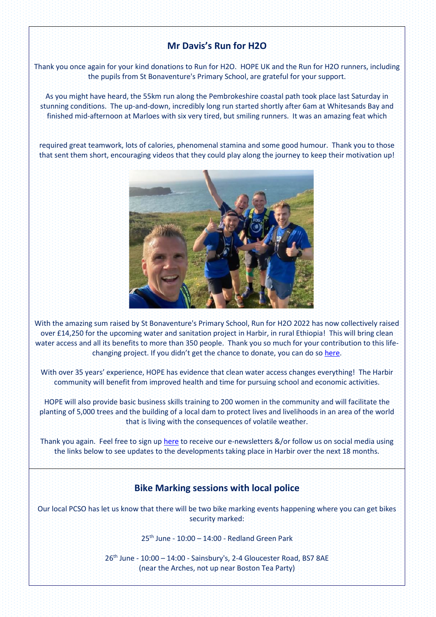# **Mr Davis's Run for H2O**

Thank you once again for your kind donations to Run for H2O. HOPE UK and the Run for H2O runners, including the pupils from St Bonaventure's Primary School, are grateful for your support.

As you might have heard, the 55km run along the Pembrokeshire coastal path took place last Saturday in stunning conditions. The up-and-down, incredibly long run started shortly after 6am at Whitesands Bay and finished mid-afternoon at Marloes with six very tired, but smiling runners. It was an amazing feat which

required great teamwork, lots of calories, phenomenal stamina and some good humour. Thank you to those that sent them short, encouraging videos that they could play along the journey to keep their motivation up!



With the amazing sum raised by St Bonaventure's Primary School, Run for H2O 2022 has now collectively raised over £14,250 for the upcoming water and sanitation project in Harbir, in rural Ethiopia! This will bring clean water access and all its benefits to more than 350 people. Thank you so much for your contribution to this lifechanging project. If you didn't get the chance to donate, you can do so [here.](https://www.stewardship.org.uk/pages/Run4H2O2022)

With over 35 years' experience, HOPE has evidence that clean water access changes everything! The Harbir community will benefit from improved health and time for pursuing school and economic activities.

HOPE will also provide basic business skills training to 200 women in the community and will facilitate the planting of 5,000 trees and the building of a local dam to protect lives and livelihoods in an area of the world that is living with the consequences of volatile weather.

Thank you again. Feel free to sign u[p here](https://www.hope-international.org.uk/receive-updates) to receive our e-newsletters &/or follow us on social media using the links below to see updates to the developments taking place in Harbir over the next 18 months.

# **Bike Marking sessions with local police**

Our local PCSO has let us know that there will be two bike marking events happening where you can get bikes security marked:

25th June - 10:00 – 14:00 - Redland Green Park

26<sup>th</sup> June - 10:00 - 14:00 - Sainsbury's, 2-4 Gloucester Road, BS7 8AE (near the Arches, not up near Boston Tea Party)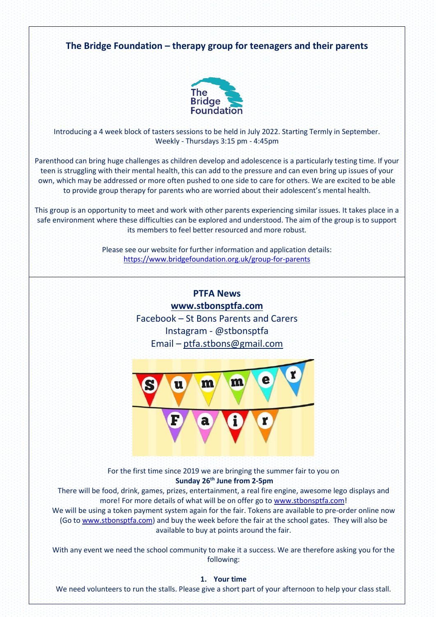

For the first time since 2019 we are bringing the summer fair to you on **Sunday 26th June from 2-5pm**

There will be food, drink, games, prizes, entertainment, a real fire engine, awesome lego displays and more! For more details of what will be on offer go to [www.stbonsptfa.com!](http://www.stbonsptfa.com/)

We will be using a token payment system again for the fair. Tokens are available to pre-order online now (Go to [www.stbonsptfa.com\)](http://www.stbonsptfa.com/) and buy the week before the fair at the school gates. They will also be available to buy at points around the fair.

With any event we need the school community to make it a success. We are therefore asking you for the following:

**1. Your time**

We need volunteers to run the stalls. Please give a short part of your afternoon to help your class stall.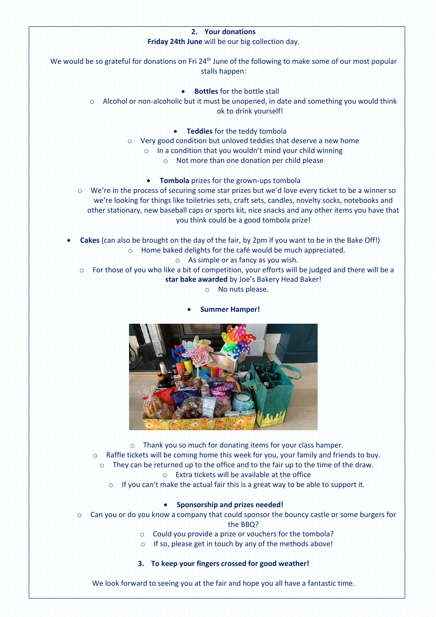# **2. Your donations Friday 24th June** will be our big collection day. We would be so grateful for donations on Fri 24<sup>th</sup> June of the following to make some of our most popular stalls happen: **Bottles** for the bottle stall

o Alcohol or non-alcoholic but it must be unopened, in date and something you would think ok to drink yourself!

• **Teddies** for the teddy tombola

- o Very good condition but unloved teddies that deserve a new home
	- o In a condition that you wouldn't mind your child winning
		- o Not more than one donation per child please

• **Tombola** prizes for the grown-ups tombola

- o We're in the process of securing some star prizes but we'd love every ticket to be a winner so we're looking for things like toiletries sets, craft sets, candles, novelty socks, notebooks and other stationary, new baseball caps or sports kit, nice snacks and any other items you have that you think could be a good tombola prize!
- **Cakes** (can also be brought on the day of the fair, by 2pm if you want to be in the Bake Off!) o Home baked delights for the café would be much appreciated.
	- o As simple or as fancy as you wish.

o For those of you who like a bit of competition, your efforts will be judged and there will be a **star bake awarded** by Joe's Bakery Head Baker!

o No nuts please.

• **Summer Hamper!**



o Thank you so much for donating items for your class hamper.

- o Raffle tickets will be coming home this week for you, your family and friends to buy. o They can be returned up to the office and to the fair up to the time of the draw.
	- o Extra tickets will be available at the office
	- o If you can't make the actual fair this is a great way to be able to support it.

# • **Sponsorship and prizes needed!**

- o Can you or do you know a company that could sponsor the bouncy castle or some burgers for the BBQ?
	- o Could you provide a prize or vouchers for the tombola?
	- o If so, please get in touch by any of the methods above!

# **3. To keep your fingers crossed for good weather!**

We look forward to seeing you at the fair and hope you all have a fantastic time.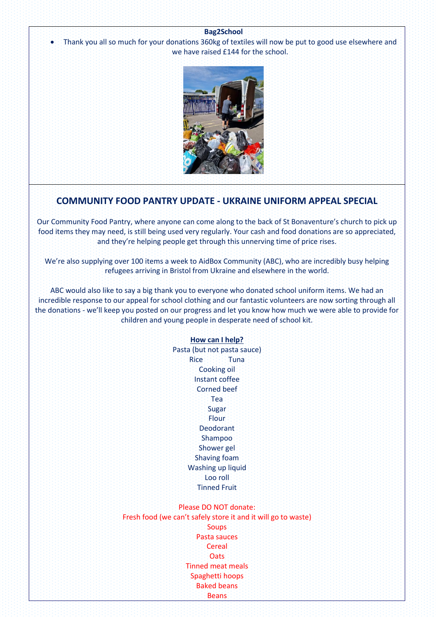### **Bag2School**

• Thank you all so much for your donations 360kg of textiles will now be put to good use elsewhere and we have raised £144 for the school.



# **COMMUNITY FOOD PANTRY UPDATE - UKRAINE UNIFORM APPEAL SPECIAL**

Our Community Food Pantry, where anyone can come along to the back of St Bonaventure's church to pick up food items they may need, is still being used very regularly. Your cash and food donations are so appreciated, and they're helping people get through this unnerving time of price rises.

We're also supplying over 100 items a week to AidBox Community (ABC), who are incredibly busy helping refugees arriving in Bristol from Ukraine and elsewhere in the world.

ABC would also like to say a big thank you to everyone who donated school uniform items. We had an incredible response to our appeal for school clothing and our fantastic volunteers are now sorting through all the donations - we'll keep you posted on our progress and let you know how much we were able to provide for children and young people in desperate need of school kit.

### **How can I help?**

Pasta (but not pasta sauce) Rice Tuna Cooking oil Instant coffee Corned beef Tea Sugar **Flour** Deodorant Shampoo Shower gel Shaving foam Washing up liquid Loo roll Tinned Fruit

## Please DO NOT donate:

Fresh food (we can't safely store it and it will go to waste) **Soups** Pasta sauces **Cereal Oats** Tinned meat meals Spaghetti hoops Baked beans **Beans**